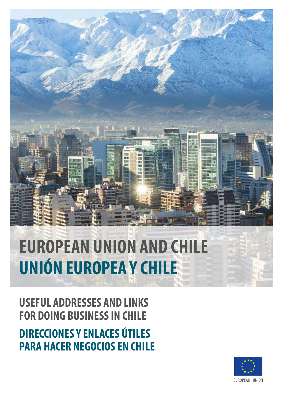

## **FOR DOING BUSINESS IN CHILE DIRECCIONES Y ENLACES ÚTILES PARA HACER NEGOCIOS EN CHILE**

**USEFUL ADDRESSES AND LINKS**

# **EUROPEAN UNION AND CHILE UNIÓN EUROPEA Y CHILE**

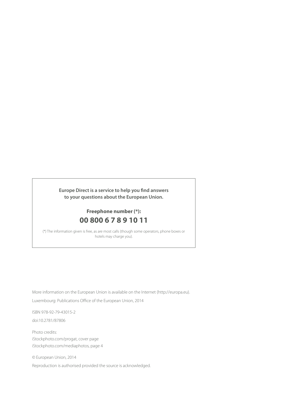**Europe Direct is a service to help you find answers to your questions about the European Union.**

### **Freephone number (\*): 00 800 6 7 8 9 10 11**

(\*) The information given is free, as are most calls (though some operators, phone boxes or hotels may charge you).

More information on the European Union is available on the Internet ([http://europa.eu\)](http://europa.eu).

Luxembourg: Publications Office of the European Union, 2014

ISBN 978-92-79-43015-2 doi:10.2781/87806

Photo credits: <iStockphoto.com/progat>, cover page [iStockphoto.com/mediaphotos,](iStockphoto.com/mediaphotos) page 4

© European Union, 2014

Reproduction is authorised provided the source is acknowledged.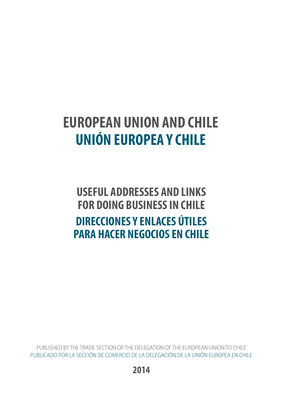## **EUROPEAN UNION AND CHILE UNIÓN EUROPEA Y CHILE**

**USEFUL ADDRESSES AND LINKS FOR DOING BUSINESS IN CHILE DIRECCIONES Y ENLACES ÚTILES PARA HACER NEGOCIOS EN CHILE**

PUBLISHED BY THE TRADE SECTION OF THE DELEGATION OF THE EUROPEAN UNION TO CHILE PUBLICADO POR LA SECCIÓN DE COMERCIO DE LA DELEGACIÓN DE LA UNIÓN EUROPEA EN CHILE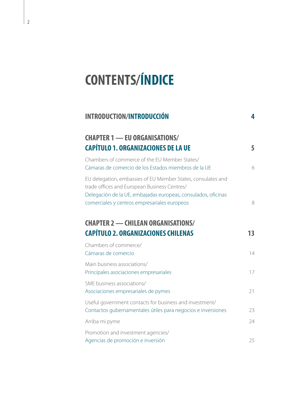# **CONTENTS/ÍNDICE**

| <b>INTRODUCTION/INTRODUCCIÓN</b>                                                                                                                                                                                              | 4  |
|-------------------------------------------------------------------------------------------------------------------------------------------------------------------------------------------------------------------------------|----|
| <b>CHAPTER 1 - EU ORGANISATIONS/</b><br><b>CAPÍTULO 1. ORGANIZACIONES DE LA UE</b>                                                                                                                                            | 5  |
| Chambers of commerce of the EU Member States/<br>Cámaras de comercio de los Estados miembros de la UE                                                                                                                         | 6  |
| EU delegation, embassies of EU Member States, consulates and<br>trade offices and European Business Centres/<br>Delegación de la UE, embajadas europeas, consulados, oficinas<br>comerciales y centros empresariales europeos | 8  |
| <b>CHAPTER 2 - CHILEAN ORGANISATIONS/</b><br><b>CAPÍTULO 2. ORGANIZACIONES CHILENAS</b>                                                                                                                                       | 13 |
| Chambers of commerce/<br>Cámaras de comercio                                                                                                                                                                                  | 14 |
| Main business associations/<br>Principales asociaciones empresariales                                                                                                                                                         | 17 |
| SME business associations/<br>Asociaciones empresariales de pymes                                                                                                                                                             | 21 |
| Useful government contacts for business and investment/<br>Contactos gubernamentales útiles para negocios e inversiones                                                                                                       | 23 |
| Arriba mi pyme                                                                                                                                                                                                                | 24 |
| Promotion and investment agencies/<br>Agencias de promoción e inversión                                                                                                                                                       | 25 |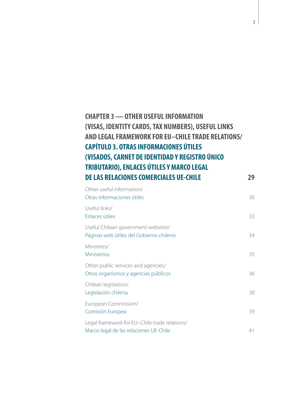### **[CHAPTER 3 — OTHER USEFUL INFORMATION](#page-30-0)  [\(VISAS, IDENTITY CARDS, TAX NUMBERS\), USEFUL LINKS](#page-30-0)  [AND LEGAL FRAMEWORK FOR EU–CHILE TRADE RELATIONS/](#page-30-0)  [CAPÍTULO 3. OTRAS INFORMACIONES ÚTILES](#page-30-0)  [\(VISADOS, CARNET DE IDENTIDAD Y REGISTRO ÚNICO](#page-30-0)  [TRIBUTARIO\), ENLACES ÚTILES Y MARCO LEGAL](#page-30-0)  [DE LAS RELACIONES COMERCIALES UE-CHILE](#page-30-0) 29**

| Other useful information/<br>Otras informaciones útiles                                 | 30 |
|-----------------------------------------------------------------------------------------|----|
| Useful links/<br>Enlaces útiles                                                         | 33 |
| Useful Chilean government websites/<br>Páginas web útiles del Gobierno chileno          | 34 |
| Ministries/<br><b>Ministerios</b>                                                       | 35 |
| Other public services and agencies/<br>Otros organismos y agencias públicos             | 36 |
| Chilean legislation/<br>Legislación chilena                                             | 38 |
| European Commission/<br>Comisión Europea                                                | 39 |
| Legal framework for EU-Chile trade relations/<br>Marco legal de las relaciones UE-Chile | 41 |
|                                                                                         |    |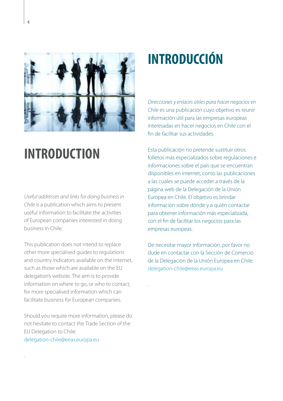<span id="page-5-0"></span>

## **INTRODUCTION**

*Useful addresses and links for doing business in Chile* is a publication which aims to present useful information to facilitate the activities of European companies interested in doing business in Chile.

This publication does not intend to replace other more specialised guides to regulations and country indicators available on the Internet, such as those which are available on the EU delegation's website. The aim is to provide information on where to go, or who to contact, for more specialised information which can facilitate business for European companies.

Should you require more information, please do not hesitate to contact the Trade Section of the EU Delegation to Chile: [delegation-chile@eeas.europa.eu](mailto:delegation-chile%40eeas.europa.eu?subject=)

.

## **INTRODUCCIÓN**

*Direcciones y enlaces útiles para hacer negocios en Chile* es una publicación cuyo objetivo es reunir información útil para las empresas europeas interesadas en hacer negocios en Chile con el fin de facilitar sus actividades.

Esta publicación no pretende sustituir otros folletos más especializados sobre regulaciones e informaciones sobre el país que se encuentran disponibles en internet, como las publicaciones a las cuales se puede acceder a través de la página web de la Delegación de la Unión Europea en Chile. El objetivo es brindar información sobre dónde y a quién contactar para obtener información más especializada, con el fin de facilitar los negocios para las empresas europeas.

De necesitar mayor información, por favor no dude en contactar con la Sección de Comercio de la Delegación de la Unión Europea en Chile: [delegation-chile@eeas.europa.eu](mailto:delegation-chile%40eeas.europa.eu?subject=)

.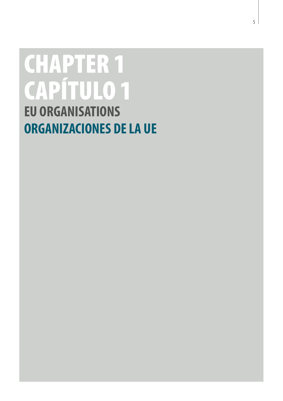# <span id="page-6-0"></span>CHAPTER 1 CAPÍTULO 1 **EU ORGANISATIONS ORGANIZACIONES DE LA UE**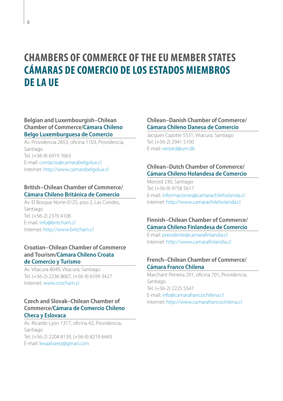### <span id="page-7-0"></span>**CHAMBERS OF COMMERCE OF THE EU MEMBER STATES CÁMARAS DE COMERCIO DE LOS ESTADOS MIEMBROS DE LA UE**

### **Belgian and Luxembourgish–Chilean Chamber of Commerce/Cámara Chileno Belgo Luxemburguesa de Comercio**

Av. Providencia 2653, oficina 1103, Providencia, Santiago Tel. (+56-9) 6919 7663 E-mail: [contacto@camarabelgolux.cl](mailto:contacto@camarabelgolux.cl) Internet: http:/[/www.camarabelgolux.cl](http://www.camarabelgolux.cl)

### **British–Chilean Chamber of Commerce/ Cámara Chileno Británica de Comercio**

Av. El Bosque Norte 0125, piso 2, Las Condes, Santiago Tel. (+56-2) 2370 4106 E-mail: [info@britcham.cl](mailto:info@britcham.cl) Internet: http:/[/www.britcham.cl](http://www.britcham.cl/)

### **Croatian–Chilean Chamber of Commerce and Tourism/Cámara Chileno Croata de Comercio y Turismo**

Av. Vitacura 8049, Vitacura, Santiago Tel. (+56-2) 2236 8607, (+56-9) 6599 3427 Internet: [www.crocham.cl](http://www.crocham.cl) 

### **[Czech](http://en.wikipedia.org/wiki/Czech_language) and [Slovak–](http://en.wikipedia.org/wiki/Slovak_language)Chilean Chamber of Commerce/Cámara de Comercio Chileno Checa y Eslovaca**

Av. Ricardo Lyon 1317, oficina 42, Providencia, Santiago Tel. (+56-2) 2204 8139, (+56-9) 8219 6443 E-mail: [lexaalvarez@gmail.com](mailto:lexaalvarez@gmail.com)

### **Chilean–Danish Chamber of Commerce/ Cámara Chileno Danesa de Comercio**

Jacques Cazotte 5531, Vitacura, Santiago Tel. (+56-2) 2941 5100 E-mail: [verped@um.dk](mailto:verped@um.dk) 

### **Chilean–Dutch Chamber of Commerce/ Cámara Chileno Holandesa de Comercio**

Merced 230, Santiago Tel. (+56-9) 9758 5617 E-mail: [informaciones@camarachileholanda.cl](mailto:informaciones@camarachileholanda.cl)  Internet: http://[www.camarachileholanda.cl](http://www.camarachileholanda.cl/)

### **Finnish–Chilean Chamber of Commerce/ Cámara Chileno Finlandesa de Comercio**

E-mail: [presidente@camarafinlandia.cl](mailto:presidente%40camarafinlandia.cl?subject=) Internet:<http://www.camarafinlandia.cl>

### **French–Chilean Chamber of Commerce/ Cámara Franco Chilena**

Marchant Perreira 201, oficina 701, Providencia, Santiago Tel. (+56-2) 2225 5547 E-mail: [info@camarafrancochilena.cl](mailto:info@camarafrancochilena.cl)  Internet: http://[www.camarafrancochilena.cl](http://www.camarafrancochilena.cl)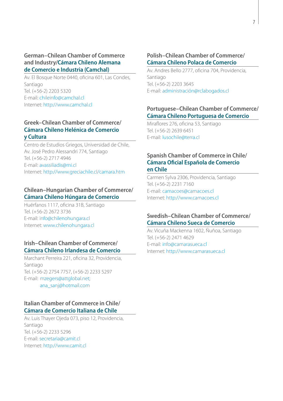### **German–Chilean Chamber of Commerce and Industry/Cámara Chileno Alemana de Comercio e Industria (Camchal)**

Av. El Bosque Norte 0440, oficina 601, Las Condes, Santiago Tel. (+56-2) 2203 5320 E-mail: [chileinfo@camchal.cl](mailto:chileinfo@camchal.cl) Internet: http:/[/www.camchal.cl](http://www.camchal.cl/)

### **Greek–Chilean Chamber of Commerce/ Cámara Chileno Helénica de Comercio y Cultura**

Centro de Estudios Griegos, Universidad de Chile, Av. José Pedro Alessandri 774, Santiago Tel. (+56-2) 2717 4946 E-mail: [avassiliadis@mi.cl](mailto:avassiliadis@mi.cl) Internet: http:/[/www.greciachile.cl/camara.htm](http://www.greciachile.cl/camara.htm)

### **Chilean–Hungarian Chamber of Commerce/ Cámara Chileno Húngara de Comercio**

Huérfanos 1117, oficina 31B, Santiago Tel. (+56-2) 2672 3736 E-mail: [info@chilenohungara.cl](mailto:info@chilenohungara.cl)  Internet: [www.chilenohungara.cl](http://www.chilenohungara.cl/) 

### **Irish–Chilean Chamber of Commerce/ Cámara Chileno Irlandesa de Comercio**

Marchant Perreira 221, oficina 32, Providencia, Santiago Tel. (+56-2) 2754 7757, (+56-2) 2233 5297 E-mail: [mzegers@attglobal.net;](mailto:mzegers@attglobal.net) [ana\\_sanj@hotmail.com](mailto:ana_sanj@hotmail.com)

### **Italian Chamber of Commerce in Chile/ Cámara de Comercio Italiana de Chile**

Av. Luis Thayer Ojeda 073, piso 12, Providencia, Santiago Tel. (+56-2) 2233 5296 E-mail: [secretaria@camit.cl](mailto:secretaria@camit.cl)  Internet: http:/[/www.camit.cl](http://www.camit.cl)

### **Polish–Chilean Chamber of Commerce/ Cámara Chileno Polaca de Comercio**

Av. Andres Bello 2777, oficina 704, Providencia, Santiago Tel. (+56-2) 2203 3645 E-mail: administración@rclabogados.cl

### **Portuguese–Chilean Chamber of Commerce/ Cámara Chileno Portuguesa de Comercio**

Miraflores 276, oficina 53, Santiago Tel. (+56-2) 2639 6451 E-mail: [lusochile@terra.cl](mailto:lusochile@terra.cl)

### **Spanish Chamber of Commerce in Chile/ Cámara Oficial Española de Comercio en Chile**

Carmen Sylva 2306, Providencia, Santiago Tel. (+56-2) 2231 7160 E-mail: [camacoes@camacoes.cl](mailto:camacoes@camacoes.cl) Internet: http://[www.camacoes.cl](http://www.camacoes.cl/) 

### **Swedish–Chilean Chamber of Commerce/ Cámara Chileno Sueca de Comercio**

Av. Vicuña Mackenna 1602, Ñuñoa, Santiago Tel. (+56-2) 2471 4629 E-mail: [info@camarasueca.cl](mailto:info@camarasueca.cl) Internet: http://[www.camarasueca.cl](http://www.camarasueca.cl/)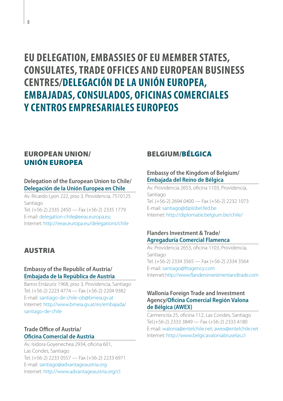### <span id="page-9-0"></span>**EU DELEGATION, EMBASSIES OF EU MEMBER STATES, CONSULATES, TRADE OFFICES AND EUROPEAN BUSINESS CENTRES/DELEGACIÓN DE LA UNIÓN EUROPEA, EMBAJADAS, CONSULADOS, OFICINAS COMERCIALES Y CENTROS EMPRESARIALES EUROPEOS**

### EUROPEAN UNION/ UNIÓN EUROPEA

### **Delegation of the European Union to Chile/ Delegación de la Unión Europea en Chile**

Av. Ricardo Lyon 222, piso 3, Providencia, 7510125 Santiago Tel. (+56-2) 2335 2450 — Fax (+56-2) 2335 1779

E-mail: [delegation-chile@eeas.europa.eu](mailto:delegation-chile@eeas.europa.eu) Internet:<http://eeas.europa.eu/delegations/chile>

### AUSTRIA

### **Embassy of the Republic of Austria/ Embajada de la República de Austria**

Barros Errázuriz 1968, piso 3, Providencia, Santiago Tel. (+56-2) 2223 4774 — Fax (+56-2) 2204 9382 E-mail: [santiago-de-chile-ob@bmeia.gv.at](mailto:santiago-de-chile-ob@bmeia.gv.at) Internet: http:/[/www.bmeia.gv.at/es/embajada/](http://www.bmeia.gv.at/es/embajada/santiago-de-chile) [santiago-de-chile](http://www.bmeia.gv.at/es/embajada/santiago-de-chile)

### **Trade Office of Austria/ Oficina Comercial de Austria**

Av. Isidora Goyenechea 2934, oficina 601, Las Condes, Santiago Tel. (+56-2) 2233 0557 — Fax (+56-2) 2233 6971 E-mail: [santiago@advantageaustria.org](mailto:santiago@advantageaustria.org) Internet: http:/[/www.advantageaustria.org/cl](http://www.advantageaustria.org/cl)

### BELGIUM/BÉLGICA

### **Embassy of the Kingdom of Belgium/ Embajada del Reino de Bélgica**

Av. Providencia 2653, oficina 1103, Providencia, Santiago Tel. (+56-2) 2694 0400 — Fax (+56-2) 2232 1073 E-mail: [santiago@diplobel.fed.be](mailto:santiago@diplobel.fed.be) Internet:<http://diplomatie.belgium.be/chile/>

### **Flanders Investment & Trade/ Agregaduría Comercial Flamenca**

Av. Providencia 2653, oficina 1103, Providencia, Santiago Tel. (+56-2) 2334 3565 — Fax (+56-2) 2334 3564 E-mail: [santiago@fitagency.com](mailto:santiago@fitagency.com) Internet:<http://www.flandersinvestmentandtrade.com>

### **Wallonia Foreign Trade and Investment Agency/Oficina Comercial Región Valona de Bélgica (AWEX)**

Carmencita 25, oficina 112, Las Condes, Santiago Tel.(+56-2) 2333 3849 — Fax (+56-2) 2333 4180 E-mail: [walonia@entelchile.net](mailto:walonia@entelchile.net); [awex@entelchile.net](mailto:awex@entelchile.net) Internet: http://[www.belgicavaloniabruselas.cl](http://www.belgicavaloniabruselas.cl)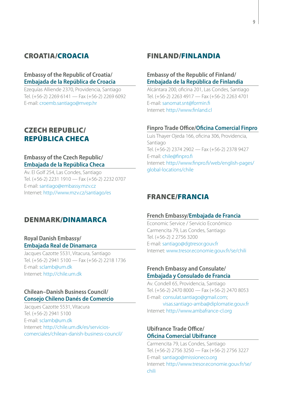### CROATIA/CROACIA

### **Embassy of the Republic of Croatia/ Embajada de la República de Croacia**

Ezequías Alliende 2370, Providencia, Santiago Tel. (+56-2) 2269 6141 — Fax (+56-2) 2269 6092 E-mail: [croemb.santiago@mvep.hr](mailto:croemb.santiago@mvep.hr)

### CZECH REPUBLIC/ REPÚBLICA CHECA

### **Embassy of the Czech Republic/ Embajada de la República Checa**

Av. El Golf 254, Las Condes, Santiago Tel. (+56-2) 2231 1910 — Fax (+56-2) 2232 0707 E-mail: [santiago@embassy.mzv.cz](mailto:santiago@embassy.mzv.cz) Internet: http:/[/www.mzv.cz/santiago/es](http://www.mzv.cz/santiago/es)

### DENMARK/DINAMARCA

### **Royal Danish Embassy/ Embajada Real de Dinamarca**

Jacques Cazotte 5531, Vitacura, Santiago Tel. (+56-2) 2941 5100 — Fax (+56-2) 2218 1736 E-mail: [sclamb@um.dk](mailto:sclamb@um.dk) Internet: [http://chile.um.dk](http://chile.um.dk/)

### **Chilean–Danish Business Council/ Consejo Chileno Danés de Comercio**

Jacques Cazotte 5531, Vitacura Tel. (+56-2) 2941 5100 E-mail: [sclamb@um.dk](mailto:sclamb%40um.dk?subject=) Internet: [http://chile.um.dk/es/servicios](http://chile.um.dk/es/servicios-comerciales/chilean-danish-business-council/)[comerciales/chilean-danish-business-council/](http://chile.um.dk/es/servicios-comerciales/chilean-danish-business-council/)

### FINLAND/FINLANDIA

### **Embassy of the Republic of Finland/ Embajada de la República de Finlandia**

Alcántara 200, oficina 201, Las Condes, Santiago Tel. (+56-2) 2263 4917 — Fax (+56-2) 2263 4701 E-mail: [sanomat.snt@formin.fi](mailto:sanomat.snt@formin.fi) Internet: http://[www.finland.cl](http://www.finland.cl)

#### **Finpro Trade Office/Oficina Comercial Finpro**

Luis Thayer Ojeda 166, oficina 306, Providencia, Santiago Tel. (+56-2) 2374 2902 — Fax (+56-2) 2378 9427 E-mail: [chile@finpro.fi](mailto:chile@finpro.fi)  Internet: http://[www.finpro.fi/web/english-pages/](http://www.finpro.fi/web/english-pages/global-locations/chile) [global-locations/chile](http://www.finpro.fi/web/english-pages/global-locations/chile)

### FRANCE/FRANCIA

### **French Embassy/Embajada de Francia**

Economic Service / Servicio Económico Carmencita 79, Las Condes, Santiago Tel. (+56-2) 2 2756 3200 E-mail: [santiago@dgtresor.gouv.fr](mailto:santiago%40dgtresor.gouv.fr?subject=) Internet:<www.tresor.economie.gouv.fr/se/chili>

### **French Embassy and Consulate/ Embajada y Consulado de Francia**

Av. Condell 65, Providencia, Santiago Tel. (+56-2) 2470 8000 — Fax (+56-2) 2470 8053 E-mail: [consulat.santiago@gmail.com](mailto:consulat.santiago@gmail.com); [visas.santiago-amba@diplomatie.gouv.fr](mailto:visas.santiago-amba@diplomatie.gouv.fr)

Internet: http://[www.ambafrance-cl.org](http://www.ambafrance-cl.org)

### **Ubifrance Trade Office/ Oficina Comercial Ubifrance**

Carmencita 79, Las Condes, Santiago Tel. (+56-2) 2756 3250 — Fax (+56-2) 2756 3227 E-mail: [santiago@missioneco.org](mailto:santiago@missioneco.org) Internet: http://[www.tresor.economie.gouv.fr/se/](http://www.tresor.economie.gouv.fr/se/chili) [chili](http://www.tresor.economie.gouv.fr/se/chili)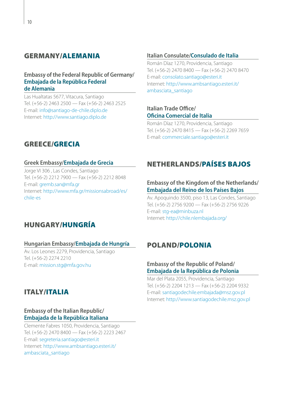### GERMANY/ALEMANIA

#### **Embassy of the Federal Republic of Germany/ Embajada de la República Federal de Alemania**

Las Hualtatas 5677, Vitacura, Santiago Tel. (+56-2) 2463 2500 — Fax (+56-2) 2463 2525 E-mail: [info@santiago-de-chile.diplo.de](mailto:info%40santiago-de-chile.diplo.de?subject=) Internet: http:/[/www.santiago.diplo.de](http://www.santiago.diplo.de)

### **Italian Consulate/Consulado de Italia**

Román Díaz 1270, Providencia, Santiago Tel. (+56-2) 2470 8400 — Fax (+56-2) 2470 8470 E-mail: [consolato.santiago@esteri.it](mailto:consolato.santiago@esteri.it) Internet: http://[www.ambsantiago.esteri.it/](http://www.ambsantiago.esteri.it/ambasciata_santiago) [ambasciata\\_santiago](http://www.ambsantiago.esteri.it/ambasciata_santiago)

### **Italian Trade Office/ Oficina Comercial de Italia**

Román Díaz 1270, Providencia, Santiago Tel. (+56-2) 2470 8415 — Fax (+56-2) 2269 7659 E-mail: [commerciale.santiago@esteri.it](mailto:commerciale.santiago@esteri.it)

### GREECE/GRECIA

### **Greek Embassy/Embajada de Grecia**

Jorge VI 306 , Las Condes, Santiago Tel. (+56-2) 2212 7900 — Fax (+56-2) 2212 8048 E-mail: [gremb.san@mfa.gr](mailto:gremb.san%40mfa.gr?subject=) Internet: http:/[/www.mfa.gr/missionsabroad/es/](http://www.mfa.gr/missionsabroad/es/chile-es) [chile-es](http://www.mfa.gr/missionsabroad/es/chile-es)

### NETHERLANDS/PAÍSES BAJOS

### **Embassy of the Kingdom of the Netherlands/ Embajada del Reino de los Países Bajos**

Av. Apoquindo 3500, piso 13, Las Condes, Santiago Tel. (+56-2) 2756 9200 — Fax (+56-2) 2756 9226 E-mail: [stg-ea@minbuza.nl](mailto:stg-ea%40minbuza.nl?subject=) Internet:<http://chile.nlembajada.org/>

### HUNGARY/HUNGRÍA

#### **Hungarian Embassy/Embajada de Hungría**

Av. Los Leones 2279, Providencia, Santiago Tel. (+56-2) 2274 2210 E-mail: [mission.stg@mfa.gov.hu](mailto:mission.stg@mfa.gov.hu)

### ITALY/ITALIA

### **Embassy of the Italian Republic/ Embajada de la República Italiana**

Clemente Fabres 1050, Providencia, Santiago Tel. (+56-2) 2470 8400 — Fax (+56-2) 2223 2467 E-mail: [segreteria.santiago@esteri.it](mailto:segreteria.santiago@esteri.it) Internet: http:/[/www.ambsantiago.esteri.it/](http://www.ambsantiago.esteri.it/ambasciata_santiago) [ambasciata\\_santiago](http://www.ambsantiago.esteri.it/ambasciata_santiago)

### POLAND/POLONIA

### **Embassy of the Republic of Poland/ Embajada de la República de Polonia**

Mar del Plata 2055, Providencia, Santiago Tel. (+56-2) 2204 1213 — Fax (+56-2) 2204 9332 E-mail: [santiagodechile.embajada@msz.gov.pl](mailto:santiagodechile.embajada@msz.gov.pl) Internet: http://[www.santiagodechile.msz.gov.pl](http://www.santiagodechile.msz.gov.pl)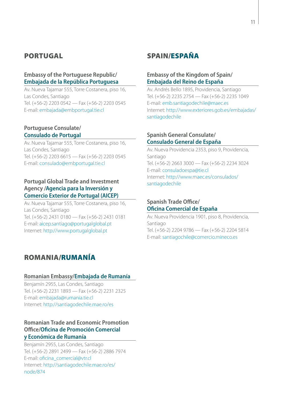### PORTUGAL

### **Embassy of the Portuguese Republic/ Embajada de la República Portuguesa**

Av. Nueva Tajamar 555, Torre Costanera, piso 16, Las Condes, Santiago Tel. (+56-2) 2203 0542 — Fax (+56-2) 2203 0545 E-mail: [embajada@embportugal.tie.cl](mailto:embajada@embportugal.tie.cl)

### **Portuguese Consulate/ Consulado de Portugal**

Av. Nueva Tajamar 555, Torre Costanera, piso 16, Las Condes, Santiago Tel. (+56-2) 2203 6615 — Fax (+56-2) 2203 0545 E-mail: [consulado@embportugal.tie.cl](mailto:consulado@embportugal.tie.cl)

### **Portugal Global Trade and Investment Agency /Agencia para la Inversión y Comercio Exterior de Portugal (AICEP)**

Av. Nueva Tajamar 555, Torre Costanera, piso 16, Las Condes, Santiago Tel. (+56-2) 2431 0180 — Fax (+56-2) 2431 0181 E-mail: [aicep.santiago@portugalglobal.pt](mailto:aicep.santiago@portugalglobal.pt) Internet: http:/[/www.portugalglobal.pt](http://www.portugalglobal.pt)

### ROMANIA/RUMANÍA

#### **Romanian Embassy/Embajada de Rumanía**

Benjamín 2955, Las Condes, Santiago Tel. (+56-2) 2231 1893 — Fax (+56-2) 2231 2325 E-mail: [embajada@rumania.tie.cl](mailto:embajada@rumania.tie.cl) Internet:<http://santiagodechile.mae.ro/es>

### **Romanian Trade and Economic Promotion Office/Oficina de Promoción Comercial y Económica de Rumanía**

Benjamín 2955, Las Condes, Santiago Tel. (+56-2) 2891 2499 — Fax (+56-2) 2886 7974 E-mail: [oficina\\_comercial@vtr.cl](mailto:oficina_comercial@vtr.cl) Internet: [http://santiagodechile.mae.ro/es/](http://santiagodechile.mae.ro/es/node/874) [node/874](http://santiagodechile.mae.ro/es/node/874) 

### SPAIN/ESPAÑA

### **Embassy of the Kingdom of Spain/ Embajada del Reino de España**

Av. Andrés Bello 1895, Providencia, Santiago Tel. (+56-2) 2235 2754 — Fax (+56-2) 2235 1049 E-mail: [emb.santiagodechile@maec.es](mailto:emb.santiagodechile@maec.es) Internet: [http://www.exteriores.gob.es/embajadas/](http://www.exteriores.gob.es/embajadas/santiagodechile/es/Paginas/inicio.aspx) [santiagodechile](http://www.exteriores.gob.es/embajadas/santiagodechile/es/Paginas/inicio.aspx)

### **Spanish General Consulate/ Consulado General de España**

Av. Nueva Providencia 2353, piso 9, Providencia, Santiago Tel. (+56-2) 2663 3000 — Fax (+56-2) 2234 3024 E-mail: [consuladoespa@tie.cl](mailto:consuladoespa@tie.cl) Internet: http://[www.maec.es/consulados/](http://www.maec.es/consulados/santiagodechile) [santiagodechile](http://www.maec.es/consulados/santiagodechile)

### **Spanish Trade Office/ Oficina Comercial de España**

Av. Nueva Providencia 1901, piso 8, Providencia, Santiago Tel. (+56-2) 2204 9786 — Fax (+56-2) 2204 5814 E-mail: [santiagochile@comercio.mineco.es](mailto:santiagochile%40comercio.mineco.es?subject=)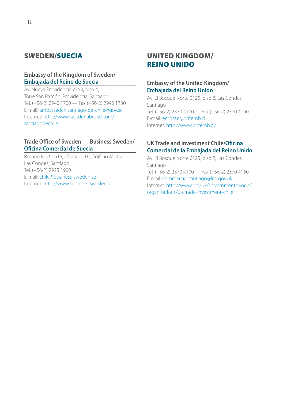### SWEDEN/SUECIA

### **Embassy of the Kingdom of Sweden/ Embajada del Reino de Suecia**

Av. Nueva Providencia 2353, piso 4, Torre San Ramón, Providencia, Santiago Tel. (+56-2) 2940 1700 — Fax (+56-2) 2940 1730 E-mail: [ambassaden.santiago-de-chile@gov.se](mailto:ambassaden.santiago-de-chile@gov.se) Internet: [http://www.swedenabroad.com/](http://www.swedenabroad.com/santiagodechile) [santiagodechile](http://www.swedenabroad.com/santiagodechile)

### **Trade Office of Sweden — Business Sweden/ Oficina Comercial de Suecia**

Rosario Norte 615, oficina 1101, Edificio Mistral, Las Condes, Santiago Tel. (+56-2) 2925 1900 E-mail: [chile@business-sweden.se](mailto:chile@business-sweden.se) Internet: http:/[/www.business-sweden.se](http://www.business-sweden.se)

### UNITED KINGDOM/ REINO UNIDO

### **Embassy of the United Kingdom/ Embajada del Reino Unido**

Av. El Bosque Norte 0125, piso 2, Las Condes, Santiago Tel. (+56-2) 2370 4100 — Fax (+56-2) 2370 4160 E-mail: [embsan@britemb.cl](mailto:embsan@britemb.cl) Internet:<http://www.britemb.cl/>

### **UK Trade and Investment Chile/Oficina Comercial de la Embajada del Reino Unido**

Av. El Bosque Norte 0125, piso 2, Las Condes, Santiago Tel. (+56-2) 2370 4100 — Fax (+56-2) 2370 4160 E-mail: [commercial.santiago@fco.gov.uk](mailto:commercial.santiago@fco.gov.uk) Internet: http://[www.gov.uk/government/world/](http://www.gov.uk/government/world/organisations/uk-trade-investment-chile) [organisations/uk-trade-investment-chile](http://www.gov.uk/government/world/organisations/uk-trade-investment-chile)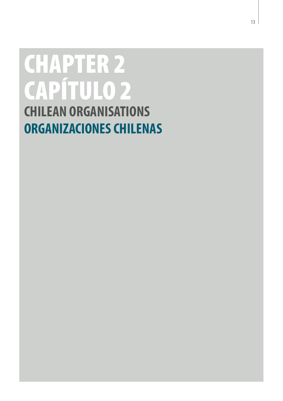# <span id="page-14-0"></span>CHAPTER 2 CAPÍTULO 2 **CHILEAN ORGANISATIONS ORGANIZACIONES CHILENAS**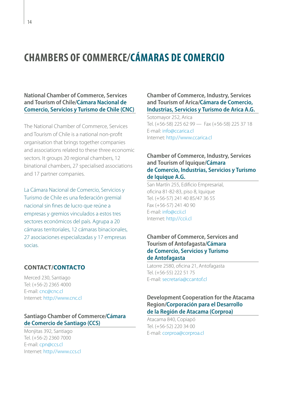### <span id="page-15-0"></span>**CHAMBERS OF COMMERCE/CÁMARAS DE COMERCIO**

**National Chamber of Commerce, Services and Tourism of Chile/Cámara Nacional de Comercio, Servicios y Turismo de Chile (CNC)**

The National Chamber of Commerce, Services and Tourism of Chile is a national non-profit organisation that brings together companies and associations related to these three economic sectors. It groups 20 regional chambers, 12 binational chambers, 27 specialised associations and 17 partner companies.

La Cámara Nacional de Comercio, Servicios y Turismo de Chile es una federación gremial nacional sin fines de lucro que reúne a empresas y gremios vinculados a estos tres sectores económicos del país. Agrupa a 20 cámaras territoriales, 12 cámaras binacionales, 27 asociaciones especializadas y 17 empresas socias.

### **CONTACT/CONTACTO**

Merced 230, Santiago Tel: (+56-2) 2365 4000 E-mail: [cnc@cnc.cl](mailto:cnc@cnc.cl) Internet:<http://www.cnc.cl>

### **Santiago Chamber of Commerce/Cámara de Comercio de Santiago (CCS)**

Monjitas 392, Santiago Tel. (+56-2) 2360 7000 E-mail: [cpn@ccs.cl](mailto:cpn@ccs.cl) Internet:<http://www.ccs.cl>

### **Chamber of Commerce, Industry, Services and Tourism of Arica/Cámara de Comercio, Industrias, Servicios y Turismo de Arica A.G.**

Sotomayor 252, Arica Tel. (+56-58) 225 62 99 — Fax (+56-58) 225 37 18 E-mail: [info@ccarica.cl](mailto:info@ccarica.cl) Internet:<http://www.ccarica.cl>

### **Chamber of Commerce, Industry, Services and Tourism of Iquique/Cámara de Comercio, Industrias, Servicios y Turismo de Iquique A.G.**

San Martín 255, Edificio Empresarial, oficina 81-82-83, piso 8, Iquique Tel. (+56-57) 241 40 85/47 36 55 Fax (+56-57) 241 40 90 E-mail: [info@ccii.cl](mailto:info@ccii.cl) Internet:<http://ccii.cl>

### **Chamber of Commerce, Services and Tourism of Antofagasta/Cámara de Comercio, Servicios y Turismo de Antofagasta**

Latorre 2580, oficina 21, Antofagasta Tel. (+56-55) 222 51 75 E-mail: [secretaria@ccantof.cl](mailto:secretaria@ccantof.cl)

### **Development Cooperation for the Atacama Region/Corporación para el Desarrollo de la Región de Atacama (Corproa)**

Atacama 840, Copiapó Tel. (+56-52) 220 34 00 E-mail: [corproa@corproa.cl](mailto:corproa@corproa.cl)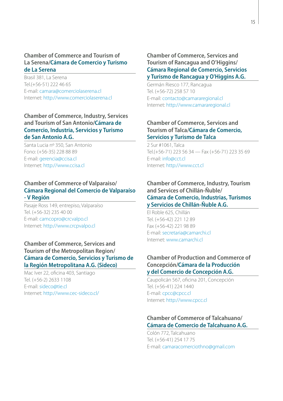### **Chamber of Commerce and Tourism of La Serena/Cámara de Comercio y Turismo de La Serena**

Brasil 381, La Serena Tel.(+56-51) 222 46 65 E-mail: [camara@comerciolaserena.cl](mailto:camara@comerciolaserena.cl) Internet:<http://www.comerciolaserena.cl>

### **Chamber of Commerce, Industry, Services and Tourism of San Antonio/Cámara de Comercio, Industria, Servicios y Turismo de San Antonio A.G.**

Santa Lucia nº 350, San Antonio Fono: (+56-35) 228 88 89 E-mail: [gerencia@ccisa.cl](mailto:gerencia@ccisa.cl) Internet:<http://www.ccisa.cl>

### **Chamber of Commerce of Valparaiso/ Cámara Regional del Comercio de Valparaíso - V Región**

Pasaje Ross 149, entrepiso, Valparaíso Tel. (+56-32) 235 40 00 E-mail: [camcopro@crcvalpo.cl](mailto:camcopro@crcvalpo.cl) Internet:<http://www.crcpvalpo.cl>

### **Chamber of Commerce, Services and Tourism of the Metropolitan Region/ Cámara de Comercio, Servicios y Turismo de la Región Metropolitana A.G. (Sideco)**

Mac Iver 22, oficina 403, Santiago Tel. (+56-2) 2633 1108 E-mail: [sideco@tie.cl](mailto:sideco@tie.cl) Internet:<http://www.cec-sideco.cl>/

### **Chamber of Commerce, Services and Tourism of Rancagua and O'Higgins/ Cámara Regional de Comercio, Servicios y Turismo de Rancagua y O'Higgins A.G.**

Germán Riesco 177, Rancagua Tel. (+56-72) 258 57 10 E-mail: [contacto@camararegional.cl](mailto:contacto@camararegional.cl) Internet:<http://www.camararegional.cl>

### **Chamber of Commerce, Services and Tourism of Talca/Cámara de Comercio, Servicios y Turismo de Talca**

2 Sur #1061, Talca Tel.(+56-71) 223 56 34 — Fax (+56-71) 223 35 69 E-mail: [info@cct.cl](mailto:info@cct.cl) Internet:<http://www.cct.cl>

### **Chamber of Commerce, Industry, Tourism and Services of Chillán-Ñuble/ Cámara de Comercio, Industrias, Turismos y Servicios de Chillán-Ñuble A.G.**

El Roble 625, Chillán Tel. (+56-42) 221 12 89 Fax (+56-42) 221 98 89 E-mail: [secretaria@camarchi.cl](mailto:secretaria@camarchi.cl)  Internet:<www.camarchi.cl>

### **Chamber of Production and Commerce of Concepción/Cámara de la Producción y del Comercio de Concepción A.G.**

Caupolicán 567, oficina 201, Concepción Tel. (+56-41) 224 1440 E-mail: [cpcc@cpcc.cl](mailto:cpcc@cpcc.cl) Internet:<http://www.cpcc.cl>

### **Chamber of Commerce of Talcahuano/ Cámara de Comercio de Talcahuano A.G.**

Colón 772, Talcahuano Tel. (+56-41) 254 17 75 E-mail: [camaracomerciothno@gmail.com](mailto:camaracomerciothno@gmail.com)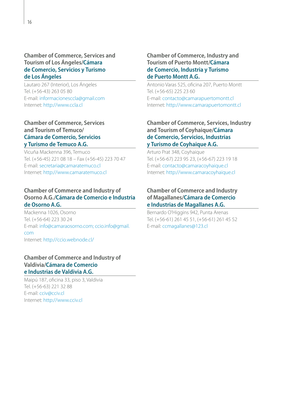### **Chamber of Commerce, Services and Tourism of Los Ángeles/Cámara de Comercio, Servicios y Turismo de Los Ángeles**

Lautaro 267 (Interior), Los Ángeles Tel. (+56-43) 263 05 80 E-mail: [informacionesccla@gmail.com](mailto:informacionesccla@gmail.com)  Internet:<http://www.ccla.cl>

### **Chamber of Commerce, Services and Tourism of Temuco/ Cámara de Comercio, Servicios y Turismo de Temuco A.G.**

Vicuña Mackenna 396, Temuco Tel. (+56-45) 221 08 18 – Fax (+56-45) 223 70 47 E-mail: [secretaria@camaratemuco.cl](mailto:secretaria@camaratemuco.cl) Internet:<http://www.camaratemuco.cl>

### **Chamber of Commerce and Industry of Osorno A.G./Cámara de Comercio e Industria de Osorno A.G.**

Mackenna 1026, Osorno Tel. (+56-64) 223 30 24 E-mail: [info@camaraosorno.com;](mailto:info@camaraosorno.com) [ccio.info@gmail.](mailto:ccio.info@gmail.com) [com](mailto:ccio.info@gmail.com) Internet: [http://ccio.webnode.cl/](http://ccio.webnode.cl)

### **Chamber of Commerce and Industry of Valdivia/Cámara de Comercio e Industrias de Valdivia A.G.**

Maipú 187, oficina 33, piso 3, Valdivia Tel. (+56-63) 221 32 88 E-mail: [cciv@cciv.cl](mailto:cciv@cciv.cl) Internet:<http://www.cciv.cl>

### **Chamber of Commerce, Industry and Tourism of Puerto Montt/Cámara de Comercio, Industria y Turismo de Puerto Montt A.G.**

Antonio Varas 525, oficina 207, Puerto Montt Tel. (+56-65) 225 23 60 E-mail: [contacto@camarapuertomontt.cl](mailto:contacto@camarapuertomontt.cl) Internet:<http://www.camarapuertomontt.cl>

### **Chamber of Commerce, Services, Industry and Tourism of Coyhaique/Cámara de Comercio, Servicios, Industrias y Turismo de Coyhaique A.G.**

Arturo Prat 348, Coyhaique Tel. (+56-67) 223 95 23, (+56-67) 223 19 18 E-mail: [contacto@camaracoyhaique.cl](mailto:contacto@camaracoyhaique.cl) Internet:<http://www.camaracoyhaique.cl>

### **Chamber of Commerce and Industry of Magallanes/Cámara de Comercio e Industrias de Magallanes A.G.**

Bernardo O'Higgins 942, Punta Arenas Tel. (+56-61) 261 45 51, (+56-61) 261 45 52 E-mail: [ccmagallanes@123.cl](mailto:ccmagallanes@123.cl)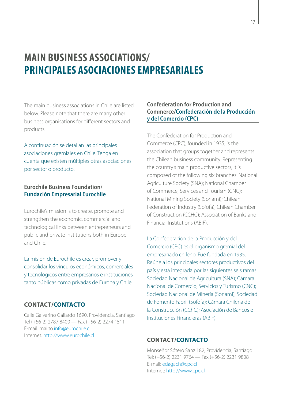### <span id="page-18-0"></span>**MAIN BUSINESS ASSOCIATIONS/ PRINCIPALES ASOCIACIONES EMPRESARIALES**

The main business associations in Chile are listed below. Please note that there are many other business organisations for different sectors and products.

A continuación se detallan las principales asociaciones gremiales en Chile. Tenga en cuenta que existen múltiples otras asociaciones por sector o producto.

### **Eurochile Business Foundation/ Fundación Empresarial Eurochile**

Eurochile's mission is to create, promote and strengthen the economic, commercial and technological links between entrepreneurs and public and private institutions both in Europe and Chile.

La misión de Eurochile es crear, promover y consolidar los vínculos económicos, comerciales y tecnológicos entre empresarios e instituciones tanto públicas como privadas de Europa y Chile.

### **CONTACT/CONTACTO**

Calle Galvarino Gallardo 1690, Providencia, Santiago Tel (+56-2) 2787 8400 — Fax (+56-2) 2274 1511 E-mail: mailto[:info@eurochile.cl](mailto:info@eurochile.cl) Internet:<http://www.eurochile.cl>

### **Confederation for Production and Commerce/Confederación de la Producción y del Comercio (CPC)**

The Confederation for Production and Commerce (CPC), founded in 1935, is the association that groups together and represents the Chilean business community. Representing the country's main productive sectors, it is composed of the following six branches: National Agriculture Society (SNA); National Chamber of Commerce, Services and Tourism (CNC); National Mining Society (Sonami); Chilean Federation of Industry (Sofofa); Chilean Chamber of Construction (CCHC); Association of Banks and Financial Institutions (ABIF).

La Confederación de la Producción y del Comercio (CPC) es el organismo gremial del empresariado chileno. Fue fundada en 1935. Reúne a los principales sectores productivos del país y está integrada por las siguientes seis ramas: Sociedad Nacional de Agricultura (SNA); Cámara Nacional de Comercio, Servicios y Turismo (CNC); Sociedad Nacional de Minería (Sonami); Sociedad de Fomento Fabril (Sofofa); Cámara Chilena de la Construcción (CChC); Asociación de Bancos e Instituciones Financieras (ABIF).

### **CONTACT/CONTACTO**

Monseñor Sótero Sanz 182, Providencia, Santiago Tel: (+56-2) 2231 9764 — Fax (+56-2) 2231 9808 E-mail: [edagach@cpc.cl](mailto:edagach@cpc.cl) Internet:<http://www.cpc.cl>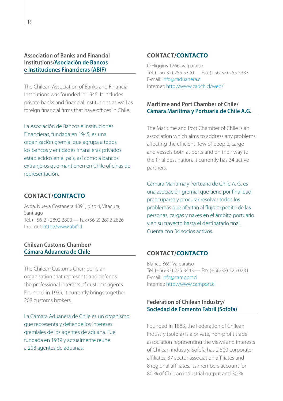### **Association of Banks and Financial Institutions/Asociación de Bancos e Instituciones Financieras (ABIF)**

The Chilean Association of Banks and Financial Institutions was founded in 1945. It includes private banks and financial institutions as well as foreign financial firms that have offices in Chile.

La Asociación de Bancos e Instituciones Financieras, fundada en 1945, es una organización gremial que agrupa a todos los bancos y entidades financieras privados establecidos en el país, así como a bancos extranjeros que mantienen en Chile oficinas de representación.

### **CONTACT/CONTACTO**

Avda. Nueva Costanera 4091, piso 4, Vitacura, Santiago Tel. (+56-2 ) 2892 2800 — Fax (56-2) 2892 2826 Internet:<http://www.abif.cl>

### **Chilean Customs Chamber/ Cámara Aduanera de Chile**

The Chilean Customs Chamber is an organisation that represents and defends the professional interests of customs agents. Founded in 1939, it currently brings together 208 customs brokers

La Cámara Aduanera de Chile es un organismo que representa y defiende los intereses gremiales de los agentes de aduana. Fue fundada en 1939 y actualmente reúne a 208 agentes de aduanas.

### **CONTACT/CONTACTO**

O'Higgins 1266, Valparaíso Tel. (+56-32) 255 5300 — Fax (+56-32) 255 5333 E-mail: [info@caduanera.cl](mailto:info@caduanera.cl)  Internet: [http://www.cadch.cl/web/](http://www.cadch.cl/web)

### **Maritime and Port Chamber of Chile/ Cámara Marítima y Portuaria de Chile A.G.**

The Maritime and Port Chamber of Chile is an association which aims to address any problems affecting the efficient flow of people, cargo and vessels both at ports and on their way to the final destination. It currently has 34 active partners.

Cámara Marítima y Portuaria de Chile A. G. es una asociación gremial que tiene por finalidad preocuparse y procurar resolver todos los problemas que afectan al flujo expedito de las personas, cargas y naves en el ámbito portuario y en su trayecto hasta el destinatario final. Cuenta con 34 socios activos.

### **CONTACT/CONTACTO**

Blanco 869, Valparaíso Tel. (+56-32) 225 3443 — Fax (+56-32) 225 0231 E-mail: [info@camport.cl](mailto:info@camport.cl) Internet:<http://www.camport.cl>

### **Federation of Chilean Industry/ Sociedad de Fomento Fabril (Sofofa)**

Founded in 1883, the Federation of Chilean Industry (Sofofa) is a private, non-profit trade association representing the views and interests of Chilean industry. Sofofa has 2 500 corporate affiliates, 37 sector association affiliates and 8 regional affiliates. Its members account for 80 % of Chilean industrial output and 30 %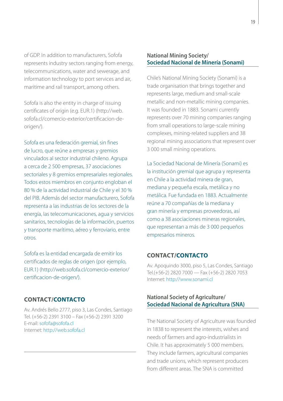of GDP. In addition to manufacturers, Sofofa represents industry sectors ranging from energy, telecommunications, water and sewerage, and information technology to port services and air, maritime and rail transport, among others.

Sofofa is also the entity in charge of issuing certificates of origin (e.g. EUR.1) ([http://web.](http://web.sofofa.cl/comercio-exterior/certificacion) [sofofa.cl/comercio-exterior/certificacion](http://web.sofofa.cl/comercio-exterior/certificacion)-deorigen/).

Sofofa es una federación gremial, sin fines de lucro, que reúne a empresas y gremios vinculados al sector industrial chileno. Agrupa a cerca de 2 500 empresas, 37 asociaciones sectoriales y 8 gremios empresariales regionales. Todos estos miembros en conjunto engloban el 80 % de la actividad industrial de Chile y el 30 % del PIB. Además del sector manufacturero, Sofofa representa a las industrias de los sectores de la energía, las telecomunicaciones, agua y servicios sanitarios, tecnologías de la información, puertos y transporte marítimo, aéreo y ferroviario, entre otros.

Sofofa es la entidad encargada de emitir los certificados de reglas de origen (por ejemplo, EUR.1) ([http://web.sofofa.cl/comercio-exterior/](http://web.sofofa.cl/comercio-exterior/certificacion) [certificacion](http://web.sofofa.cl/comercio-exterior/certificacion)-de-origen/).

### **CONTACT/CONTACTO**

Av. Andrés Bello 2777, piso 3, Las Condes, Santiago Tel. (+56-2) 2391 3100 – Fax (+56-2) 2391 3200 E-mail: [sofofa@sofofa.cl](mailto:sofofa@sofofa.cl) Internet:<http://web.sofofa.cl>

### **National Mining Society/ Sociedad Nacional de Minería (Sonami)**

Chile's National Mining Society (Sonami) is a trade organisation that brings together and represents large, medium and small-scale metallic and non-metallic mining companies. It was founded in 1883. Sonami currently represents over 70 mining companies ranging from small operations to large-scale mining complexes, mining-related suppliers and 38 regional mining associations that represent over 3 000 small mining operations.

La Sociedad Nacional de Minería (Sonami) es la institución gremial que agrupa y representa en Chile a la actividad minera de gran, mediana y pequeña escala, metálica y no metálica. Fue fundada en 1883. Actualmente reúne a 70 compañías de la mediana y gran minería y empresas proveedoras, así como a 38 asociaciones mineras regionales, que representan a más de 3 000 pequeños empresarios mineros.

#### **CONTACT/CONTACTO**

Av. Apoquindo 3000, piso 5, Las Condes, Santiago Tel.(+56-2) 2820 7000 — Fax (+56-2) 2820 7053 Internet:<http://www.sonami.cl>

### **National Society of Agriculture/ Sociedad Nacional de Agricultura (SNA)**

The National Society of Agriculture was founded in 1838 to represent the interests, wishes and needs of farmers and agro-industrialists in Chile. It has approximately 5 000 members. They include farmers, agricultural companies and trade unions, which represent producers from different areas. The SNA is committed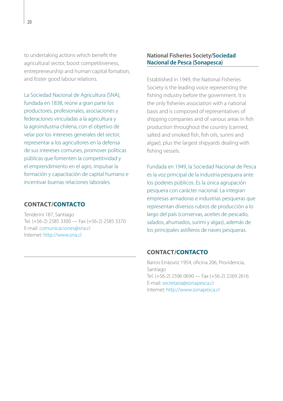to undertaking actions which benefit the agricultural sector, boost competitiveness, entrepreneurship and human capital fomation, and foster good labour relations.

La Sociedad Nacional de Agricultura (SNA), fundada en 1838, reúne a gran parte los productores, profesionales, asociaciones y federaciones vinculadas a la agricultura y la agroindustria chilena, con el objetivo de velar por los intereses generales del sector, representar a los agricultores en la defensa de sus intereses comunes, promover políticas públicas que fomenten la competitividad y el emprendimiento en el agro, impulsar la formación y capacitación de capital humano e incentivar buenas relaciones laborales.

### **CONTACT/CONTACTO**

Tenderini 187, Santiago Tel. (+56-2) 2585 3300 — Fax (+56-2) 2585 3370 E-mail: [comunicaciones@sna.cl](mailto:comunicaciones@sna.cl) Internet:<http://www.sna.cl>

### **National Fisheries Society/Sociedad Nacional de Pesca (Sonapesca)**

Established in 1949, the National Fisheries Society is the leading voice representing the fishing industry before the government. It is the only fisheries association with a national basis and is composed of representatives of shipping companies and of various areas in fish production throughout the country (canned, salted and smoked fish, fish oils, surimi and algae), plus the largest shipyards dealing with fishing vessels.

Fundada en 1949, la Sociedad Nacional de Pesca es la voz principal de la industria pesquera ante los poderes públicos. Es la única agrupación pesquera con carácter nacional. La integran empresas armadoras e industrias pesqueras que representan diversos rubros de producción a lo largo del país (conservas, aceites de pescado, salados, ahumados, surimi y algas), además de los principales astilleros de naves pesqueras.

### **CONTACT/CONTACTO**

Barros Errázuriz 1954, oficina 206, Providencia, Santiago Tel. (+56-2) 2596 0690 — Fax (+56-2) 2269 2616 E-mail: [secretaria@sonapesca.cl](mailto:secretaria@sonapesca.cl) Internet:<http://www.sonapesca.cl>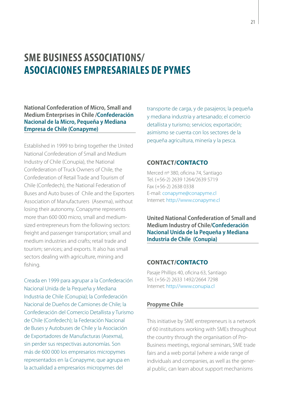### <span id="page-22-0"></span>**SME BUSINESS ASSOCIATIONS/ ASOCIACIONES EMPRESARIALES DE PYMES**

**National Confederation of Micro, Small and Medium Enterprises in Chile /Confederación Nacional de la Micro, Pequeña y Mediana Empresa de Chile (Conapyme)**

Established in 1999 to bring together the United National Confederation of Small and Medium Industry of Chile (Conupia), the National Confederation of Truck Owners of Chile, the Confederation of Retail Trade and Tourism of Chile (Confedech), the National Federation of Buses and Auto buses of Chile and the Exporters Association of Manufacturers (Asexma), without losing their autonomy. Conapyme represents more than 600 000 micro, small and mediumsized entrepreneurs from the following sectors: freight and passenger transportation; small and medium industries and crafts; retail trade and tourism; services; and exports. It also has small sectors dealing with agriculture, mining and fishing.

Creada en 1999 para agrupar a la Confederación Nacional Unida de la Pequeña y Mediana Industria de Chile (Conupia); la Confederación Nacional de Dueños de Camiones de Chile; la Confederación del Comercio Detallista y Turismo de Chile (Confedech); la Federación Nacional de Buses y Autobuses de Chile y la Asociación de Exportadores de Manufacturas (Asexma), sin perder sus respectivas autonomías. Son más de 600 000 los empresarios micropymes representados en la Conapyme, que agrupa en la actualidad a empresarios micropymes del

transporte de carga, y de pasajeros; la pequeña y mediana industria y artesanado; el comercio detallista y turismo; servicios; exportación; asimismo se cuenta con los sectores de la pequeña agricultura, minería y la pesca.

### **CONTACT/CONTACTO**

Merced nº 380, oficina 74, Santiago Tel. (+56-2) 2639 1264/2639 5719 Fax (+56-2) 2638 0338 E-mail: [conapyme@conapyme.cl](mailto:conapyme@conapyme.cl) Internet:<http://www.conapyme.cl>

**United National Confederation of Small and Medium Industry of Chile/Confederación Nacional Unida de la Pequeña y Mediana Industria de Chile (Conupia)**

### **CONTACT/CONTACTO**

Pasaje Phillips 40, oficina 63, Santiago Tel. (+56-2) 2633 1492/2664 7298 Internet:<http://www.conupia.cl>

#### **Propyme Chile**

This initiative by SME entrepreneurs is a network of 60 institutions working with SMEs throughout the country through the organisation of Pro-Business meetings, regional seminars, SME trade fairs and a web portal (where a wide range of individuals and companies, as well as the general public, can learn about support mechanisms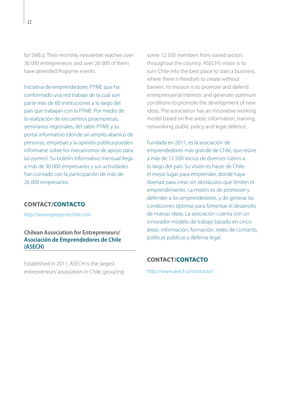for SMEs). Their monthly newsletter reaches over 30 000 entrepreneurs and over 26 000 of them have attended Propyme events.

Iniciativa de emprendedores PYME que ha conformado una red trabajo de la cual son parte más de 60 instituciones a lo largo del país que trabajan con la PYME. Por medio de la realización de encuentros proempresas, seminarios regionales, del salón PYME y su portal informativo (donde un amplio abanico de personas, empresas y la opinión pública pueden informarse sobre los mecanismos de apoyo para las pymes). Su boletín informativo mensual llega a más de 30 000 empresarios y sus actividades han contado con la participación de más de 26 000 empresarios.

### **CONTACT/CONTACTO**

<http://www.propymechile.com>

**Chilean Association for Entrepreneurs/ Asociación de Emprendedores de Chile (ASECH)**

Established in 2011, ASECH is the largest entrepreneurs' association in Chile, grouping some 12 500 members from varied sectors throughout the country. ASECH's vision is to turn Chile into the best place to start a business, where there is freedom to create without barriers. Its mission is to promote and defend entreprenuerial interests and generate optimum conditions to promote the development of new ideas. The association has an innovative working model based on five areas: information, training, networking, public policy and legal defence.

Fundada en 2011, es la asociación de emprendedores más grande de Chile, que reúne a más de 12 500 socios de diversos rubros a lo largo del país. Su visión es hacer de Chile el mejor lugar para emprender, donde haya libertad para crear, sin obstáculos que limiten el emprendimiento. La misión es de promover y defender a los emprendedores, y de generar las condiciones óptimas para fomentar el desarrollo de nuevas ideas. La asociación cuenta con un innovador modelo de trabajo basado en cinco áreas: información, formación, redes de contacto, políticas públicas y defensa legal.

### **CONTACT/CONTACTO**

[http://www.asech.cl/contacto/](http://www.asech.cl/contacto)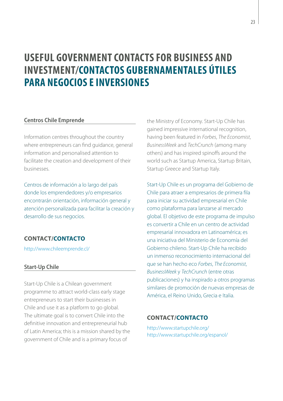### <span id="page-24-0"></span>**USEFUL GOVERNMENT CONTACTS FOR BUSINESS AND INVESTMENT/CONTACTOS GUBERNAMENTALES ÚTILES PARA NEGOCIOS E INVERSIONES**

### **Centros Chile Emprende**

Information centres throughout the country where entrepreneurs can find guidance, general information and personalised attention to facilitate the creation and development of their businesses.

Centros de información a lo largo del país donde los emprendedores y/o empresarios encontrarán orientación, información general y atención personalizada para facilitar la creación y desarrollo de sus negocios.

### **CONTACT/CONTACTO**

[http://www.chileemprende.cl/](http://www.chileemprende.cl)

### **Start-Up Chile**

Start-Up Chile is a Chilean government programme to attract world-class early stage entrepreneurs to start their businesses in Chile and use it as a platform to go global. The ultimate goal is to convert Chile into the definitive innovation and entrepreneurial hub of Latin America; this is a mission shared by the government of Chile and is a primary focus of

the Ministry of Economy. Start-Up Chile has gained impressive international recognition, having been featured in *Forbes*, *The Economist*, *BusinessWeek* and *TechCrunch* (among many others) and has inspired spinoffs around the world such as Startup America, Startup Britain, Startup Greece and Startup Italy.

Start-Up Chile es un programa del Gobierno de Chile para atraer a empresarios de primera fila para iniciar su actividad empresarial en Chile como plataforma para lanzarse al mercado global. El objetivo de este programa de impulso es convertir a Chile en un centro de actividad empresarial innovadora en Latinoamérica; es una iniciativa del Ministerio de Economía del Gobierno chileno. Start-Up Chile ha recibido un inmenso reconocimiento internacional del que se han hecho eco *Forbes*, *The Economist*, *BusinessWeek* y *TechCrunch* (entre otras publicaciones) y ha inspirado a otros programas similares de promoción de nuevas empresas de América, el Reino Unido, Grecia e Italia.

### **CONTACT/CONTACTO**

<http://www.startupchile.org>/ [http://www.startupchile.org/espanol/](http://www.startupchile.org/espanol)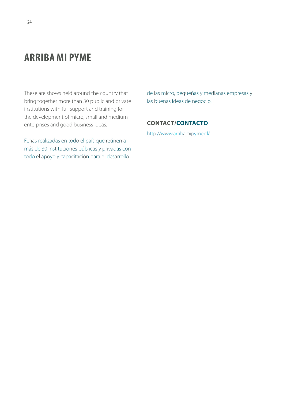### <span id="page-25-0"></span>**ARRIBA MI PYME**

These are shows held around the country that bring together more than 30 public and private institutions with full support and training for the development of micro, small and medium enterprises and good business ideas.

Ferias realizadas en todo el país que reúnen a más de 30 instituciones públicas y privadas con todo el apoyo y capacitación para el desarrollo

de las micro, pequeñas y medianas empresas y las buenas ideas de negocio.

### **CONTACT/CONTACTO**

[http://www.arribamipyme.cl/](http://www.arribamipyme.cl)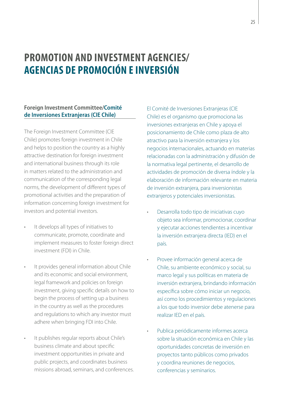### <span id="page-26-0"></span>**PROMOTION AND INVESTMENT AGENCIES/ AGENCIAS DE PROMOCIÓN E INVERSIÓN**

### **Foreign Investment Committee/Comité de Inversiones Extranjeras (CIE Chile)**

The Foreign Investment Committee (CIE Chile) promotes foreign investment in Chile and helps to position the country as a highly attractive destination for foreign investment and international business through its role in matters related to the administration and communication of the corresponding legal norms, the development of different types of promotional activities and the preparation of information concerning foreign investment for investors and potential investors.

- It develops all types of initiatives to communicate, promote, coordinate and implement measures to foster foreign direct investment (FDI) in Chile.
- It provides general information about Chile and its economic and social environment, legal framework and policies on foreign investment, giving specific details on how to begin the process of setting up a business in the country as well as the procedures and regulations to which any investor must adhere when bringing FDI into Chile.
- It publishes regular reports about Chile's business climate and about specific investment opportunities in private and public projects, and coordinates business missions abroad, seminars, and conferences.

El Comité de Inversiones Extranjeras (CIE Chile) es el organismo que promociona las inversiones extranjeras en Chile y apoya el posicionamiento de Chile como plaza de alto atractivo para la inversión extranjera y los negocios internacionales, actuando en materias relacionadas con la administración y difusión de la normativa legal pertinente, el desarrollo de actividades de promoción de diversa índole y la elaboración de información relevante en materia de inversión extranjera, para inversionistas extranjeros y potenciales inversionistas.

- Desarrolla todo tipo de iniciativas cuyo objeto sea informar, promocionar, coordinar y ejecutar acciones tendientes a incentivar la inversión extranjera directa (IED) en el país.
- Provee información general acerca de Chile, su ambiente económico y social, su marco legal y sus políticas en materia de inversión extranjera, brindando información específica sobre cómo iniciar un negocio, así como los procedimientos y regulaciones a los que todo inversior debe atenerse para realizar IED en el país.
- Publica periódicamente informes acerca sobre la situación económica en Chile y las oportunidades concretas de inversión en proyectos tanto públicos como privados y coordina reuniones de negocios, conferencias y seminarios.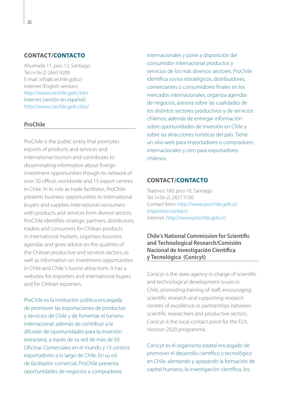### **CONTACT/CONTACTO**

Ahumada 11, piso 12, Santiago Tel (+56-2) 2663 9200 E-mail: [info@ciechile.gob.cl](mailto:info@ciechile.gob.cl) Internet (English version): <http://www.ciechile.gob.cl/en> Internet (versión en español): <http://www.ciechile.gob.cl/es>/

#### **ProChile**

ProChile is the public entity that promotes exports of products and services and international tourism and contributes to disseminating information about foreign investment opportunities though its network of over 50 offices worldwide and 15 export centres in Chile. In its role as trade facilitator, ProChile presents business opportunities to international buyers and supplies international consumers with products and services from diverse sectors. ProChile identifies strategic partners, distributors, traders and consumers for Chilean products in international markets, organises business agendas and gives advice on the qualities of the Chilean productive and services sectors, as well as information on investment opportunities in Chile and Chile´s tourist attractions. It has a websites for importers and international buyers and for Chilean exporters.

ProChile es la institución pública encargada de promover las exportaciones de productos y servicios de Chile y de fomentar el turismo internacional, además de contribuir a la difusión de oportunidades para la inversión extranjera, a través de su red de más de 50 Oficinas Comerciales en el mundo y 15 centros exportadores a lo largo de Chile. En su rol de facilitador comercial, ProChile presenta oportunidades de negocios a compradores

internacionales y pone a disposición del consumidor internacional productos y servicios de los más diversos sectores. ProChile identifica socios estratégicos, distribuidores, comerciantes o consumidores finales en los mercados internacionales, organiza agendas de negocios, asesora sobre las cualidades de los distintos sectores productivos y de servicios chilenos; además de entregar información sobre oportunidades de inversión en Chile y sobre las atracciones turísticas del país. Tiene un sitio web para importadores o compradores internacionales y otro para exportadores chilenos.

### **CONTACT/CONTACTO**

Teatinos 180, piso 10, Santiago Tel. (+56-2) 2827 5100 Contact form: [http://www.prochile.gob.cl/](http://www.prochile.gob.cl/importers/contact) [importers/contact/](http://www.prochile.gob.cl/importers/contact) Internet: [http://www.prochile.gob.cl/](http://www.prochile.gob.cl)

### **Chile's National Commission for Scientific and Technological Research/Comisión Nacional de Investigación Científica y Tecnológica (Conicyt)**

Conicyt is the state agency in charge of scientific and technological development issues in Chile, promoting training of staff, encouraging scientific research and supporting research centres of excellence or partnerships between scientific researchers and productive sectors. Conicyt is the local contact point for the EU's Horizon 2020 programme.

Conicyt es el organismo estatal encargado de promover el desarrollo científico y tecnológico en Chile, alentando y apoyando la formación de capital humano, la investigación científica, los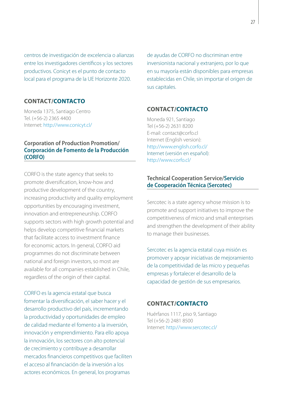centros de investigación de excelencia o alianzas entre los investigadores científicos y los sectores productivos. Conicyt es el punto de contacto local para el programa de la UE Horizonte 2020.

### **CONTACT/CONTACTO**

Moneda 1375, Santiago Centro Tel. (+56-2) 2365 4400 Internet: [http://www.conicyt.cl/](http://www.conicyt.cl)

### **Corporation of Production Promotion/ Corporación de Fomento de la Producción (CORFO)**

CORFO is the state agency that seeks to promote diversification, know-how and productive development of the country, increasing productivity and quality employment opportunities by encouraging investment, innovation and entrepreneurship. CORFO supports sectors with high growth potential and helps develop competitive financial markets that facilitate access to investment finance for economic actors. In general, CORFO aid programmes do not discriminate between national and foreign investors, so most are available for all companies established in Chile, regardless of the origin of their capital.

CORFO es la agencia estatal que busca fomentar la diversificación, el saber hacer y el desarrollo productivo del país, incrementando la productividad y oportunidades de empleo de calidad mediante el fomento a la inversión, innovación y emprendimiento. Para ello apoya la innovación, los sectores con alto potencial de crecimiento y contribuye a desarrollar mercados financieros competitivos que faciliten el acceso al financiación de la inversión a los actores económicos. En general, los programas

de ayudas de CORFO no discriminan entre inversionista nacional y extranjero, por lo que en su mayoría están disponibles para empresas establecidas en Chile, sin importar el origen de sus capitales.

### **CONTACT/CONTACTO**

Moneda 921, Santiago Tel (+56-2) 2631 8200 E-mail: [contact@corfo.cl](mailto:contact@corfo.cl) Internet (English version): [http://www.english.corfo.cl/](http://www.english.corfo.cl) Internet (versión en español): <http://www.corfo.cl>/

### **Technical Cooperation Service/Servicio de Cooperación Técnica (Sercotec)**

Sercotec is a state agency whose mission is to promote and support initiatives to improve the competitiveness of micro and small enterprises and strengthen the development of their ability to manage their businesses.

Sercotec es la agencia estatal cuya misión es promover y apoyar iniciativas de mejoramiento de la competitividad de las micro y pequeñas empresas y fortalecer el desarrollo de la capacidad de gestión de sus empresarios.

### **CONTACT/CONTACTO**

Huérfanos 1117, piso 9, Santiago Tel (+56-2) 2481 8500 Internet: [http://www.sercotec.cl/](http://www.sercotec.cl)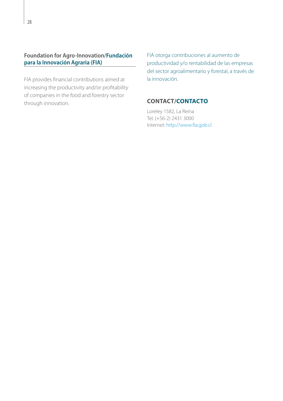### **Foundation for Agro-Innovation/Fundación para la Innovación Agraria (FIA)**

FIA provides financial contributions aimed at increasing the productivity and/or profitability of companies in the food and forestry sector through innovation.

FIA otorga contribuciones al aumento de productividad y/o rentabilidad de las empresas del sector agroalimentario y forestal, a través de la innovación.

### **CONTACT/CONTACTO**

Loreley 1582, La Reina Tel. (+56-2) 2431 3000 Internet:<http://www.fia.gob.cl>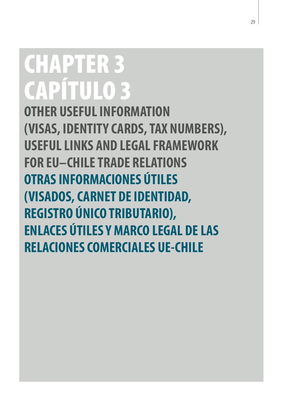# <span id="page-30-0"></span>CHAPTER 3 CAPÍTULO 3

**OTHER USEFUL INFORMATION (VISAS, IDENTITY CARDS, TAX NUMBERS), USEFUL LINKS AND LEGAL FRAMEWORK FOR EU–CHILE TRADE RELATIONS OTRAS INFORMACIONES ÚTILES (VISADOS, CARNET DE IDENTIDAD, REGISTRO ÚNICO TRIBUTARIO), ENLACES ÚTILES Y MARCO LEGAL DE LAS RELACIONES COMERCIALES UE-CHILE**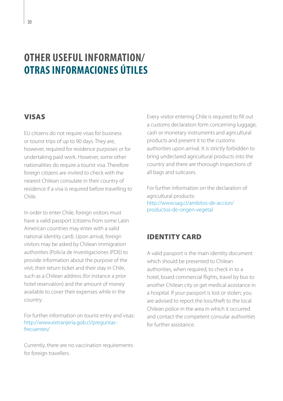### <span id="page-31-0"></span>**OTHER USEFUL INFORMATION/ OTRAS INFORMACIONES ÚTILES**

### VISAS

EU citizens do not require visas for business or tourist trips of up to 90 days. They are, however, required for residence purposes or for undertaking paid work. However, some other nationalities do require a tourist visa. Therefore foreign citizens are invited to check with the nearest Chilean consulate in their country of residence if a visa is required before travelling to Chile.

In order to enter Chile, foreign visitors must have a valid passport (citizens from some Latin American countries may enter with a valid national identity card). Upon arrival, foreign visitors may be asked by Chilean immigration authorities (Policía de Investigaciones (PDI)) to provide information about the purpose of the visit, their return ticket and their stay in Chile, such as a Chilean address (for instance a prior hotel reservation) and the amount of money available to cover their expenses while in the country.

For further information on tourist entry and visas: <http://www.extranjeria.gob.cl/preguntas>frecuentes/

Currently, there are no vaccination requirements for foreign travellers.

Every visitor entering Chile is required to fill out a customs declaration form concerning luggage, cash or monetary instruments and agricultural products and present it to the customs authorities upon arrival. It is strictly forbidden to bring undeclared agricultural products into the country and there are thorough inspections of all bags and suitcases.

For further information on the declaration of agricultural products: [http://www.sag.cl/ambitos-de-accion/](http://www.sag.cl/ambitos-de-accion/productos) [productos](http://www.sag.cl/ambitos-de-accion/productos)-de-origen-vegetal

### IDENTITY CARD

A valid passport is the main identity document which should be presented to Chilean authorities, when required, to check in to a hotel, board commercial flights, travel by bus to another Chilean city or get medical assistance in a hospital. If your passport is lost or stolen, you are advised to report the loss/theft to the local Chilean police in the area in which it occurred and contact the competent consular authorities for further assistance.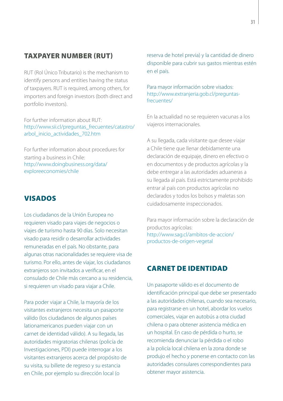### TAXPAYER NUMBER (RUT)

RUT (Rol Único Tributario) is the mechanism to identify persons and entities having the status of taxpayers. RUT is required, among others, for importers and foreign investors (both direct and portfolio investors).

For further information about RUT: [http://www.sii.cl/preguntas\\_frecuentes/catastro/](http://www.sii.cl/preguntas_frecuentes/catastro/arbol_inicio_actividades_702.htm) [arbol\\_inicio\\_actividades\\_702.htm](http://www.sii.cl/preguntas_frecuentes/catastro/arbol_inicio_actividades_702.htm)

For further information about procedures for starting a business in Chile: [http://www.doingbusiness.org/data/](http://www.doingbusiness.org/data/exploreeconomies/chile) [exploreeconomies/chile](http://www.doingbusiness.org/data/exploreeconomies/chile)

### VISADOS

Los ciudadanos de la Unión Europea no requieren visado para viajes de negocios o viajes de turismo hasta 90 días. Solo necesitan visado para residir o desarrollar actividades remuneradas en el país. No obstante, para algunas otras nacionalidades se requiere visa de turismo. Por ello, antes de viajar, los ciudadanos extranjeros son invitados a verificar, en el consulado de Chile más cercano a su residencia, si requieren un visado para viajar a Chile.

Para poder viajar a Chile, la mayoría de los visitantes extranjeros necesita un pasaporte válido (los ciudadanos de algunos países lationamericanos pueden viajar con un carnet de identidad válido). A su llegada, las autoridades migratorias chilenas (policía de Investigaciones, PDI) puede interrogar a los visitantes extranjeros acerca del propósito de su visita, su billete de regreso y su estancia en Chile, por ejemplo su dirección local (o

reserva de hotel previa) y la cantidad de dinero disponible para cubrir sus gastos mientras estén en el país.

Para mayor información sobre visados: <http://www.extranjeria.gob.cl/preguntas>frecuentes/

En la actualidad no se requieren vacunas a los viajeros internacionales.

A su llegada, cada visitante que desee viajar a Chile tiene que llenar debidamente una declaración de equipaje, dinero en efectivo o en documentos y de productos agrícolas y la debe entregar a las autoridades aduaneras a su llegada al país. Está estrictamente prohibido entrar al país con productos agrícolas no declarados y todos los bolsos y maletas son cuidadosamente inspeccionados.

Para mayor información sobre la declaración de productos agrícolas: [http://www.sag.cl/ambitos-de-accion/](http://www.sag.cl/ambitos-de-accion/productos) [productos](http://www.sag.cl/ambitos-de-accion/productos)-de-origen-vegetal

### CARNET DE IDENTIDAD

Un pasaporte válido es el documento de identificación principal que debe ser presentado a las autoridades chilenas, cuando sea necesario, para registrarse en un hotel, abordar los vuelos comerciales, viajar en autobús a otra ciudad chilena o para obtener asistencia médica en un hospital. En caso de pérdida o hurto, se recomienda denunciar la pérdida o el robo a la policía local chilena en la zona donde se produjo el hecho y ponerse en contacto con las autoridades consulares correspondientes para obtener mayor asistencia.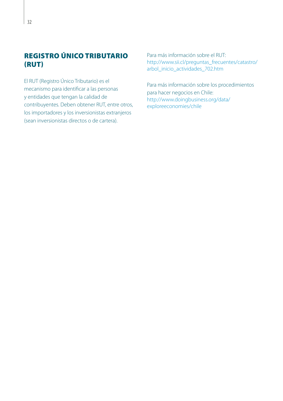### REGISTRO ÚNICO TRIBUTARIO (RUT)

El RUT (Registro Único Tributario) es el mecanismo para identificar a las personas y entidades que tengan la calidad de contribuyentes. Deben obtener RUT, entre otros, los importadores y los inversionistas extranjeros (sean inversionistas directos o de cartera).

Para más información sobre el RUT: [http://www.sii.cl/preguntas\\_frecuentes/catastro/](http://www.sii.cl/preguntas_frecuentes/catastro/arbol_inicio_actividades_702.htm) [arbol\\_inicio\\_actividades\\_702.htm](http://www.sii.cl/preguntas_frecuentes/catastro/arbol_inicio_actividades_702.htm)

Para más información sobre los procedimientos para hacer negocios en Chile: [http://www.doingbusiness.org/data/](http://www.doingbusiness.org/data/exploreeconomies/chile) [exploreeconomies/chile](http://www.doingbusiness.org/data/exploreeconomies/chile)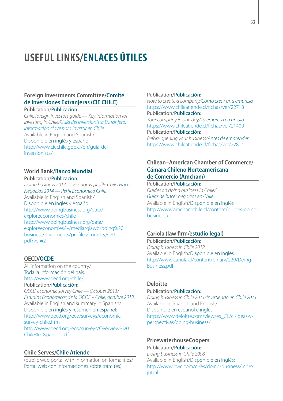### <span id="page-34-0"></span>**USEFUL LINKS/ENLACES ÚTILES**

### **Foreign Investments Committee/Comité de Inversiones Extranjeras (CIE CHILE)**

#### Publication/Publicación:

*Chile foreign investors guide — Key information for investing in Chile/Guía del Inversionista Extranjero, información clave para invertir en Chile.* Available in English and Spanish/ Disponible en inglés y español: [http://www.ciechile.gob.cl/en/guia-](http://www.ciechile.gob.cl/en/guia)delinversionista/

### **World Bank/Banco Mundial**

#### Publication/Publicación:

*Doing business 2014 — Economy profile Chile/Hacer Negocios 2014 — Perfil Económico Chile* Available in English and Spanish/ Disponible en inglés y español: [http://www.doingbusiness.org/data/](http://www.doingbusiness.org/data/exploreeconomies/chile) [exploreeconomies/chile](http://www.doingbusiness.org/data/exploreeconomies/chile) [http://www.doingbusiness.org/data/](http://www.doingbusiness.org/data/exploreeconomies/~/media/giawb/doing) [exploreeconomies/~/media/giawb/doing%](http://www.doingbusiness.org/data/exploreeconomies/~/media/giawb/doing)20 business/documents/profiles/country[/CHL.](CHL.pdf) [pdf](CHL.pdf)?ver=2

#### **OECD/OCDE**

All information on the country/ Toda la información del país: [http://www.oecd.org/chile/](http://www.oecd.org/chile) Publication/Publicación: *OECD economic survey Chile — October 2013/ Estudios Económicos de la OCDE – Chile, octubre 2013.*  Available in English and summary in Spanish/ Disponible en inglés y resumen en español: [http://www.oecd.org/eco/surveys/economic](http://www.oecd.org/eco/surveys/economic-survey-chile.htm)[survey-chile.htm](http://www.oecd.org/eco/surveys/economic-survey-chile.htm) <http://www.oecd.org/eco/surveys/Overview>%20 Chile%<20spanish.pdf>

#### **Chile Serves/Chile Atiende**

(public web portal with information on formalities/ Portal web con informaciones sobre trámites)

#### Publication/Publicación:

*How to create a company/Cómo crear una empresa* <https://www.chileatiende.cl/fichas/ver/22718> Publication/Publicación:

*Your company in one day/Tu empresa en un día* <https://www.chileatiende.cl/fichas/ver/21409> Publication/Publicación:

*Before opening your business/Antes de emprender* <https://www.chileatiende.cl/fichas/ver/22804>

### **Chilean–American Chamber of Commerce/ Cámara Chileno Norteamericana de Comercio (Amcham)**

#### Publication/Publicación:

*Guides on doing business in Chile/ Guías de hacer negocios en Chile* Available in English/Disponible en inglés <http://www.amchamchile.cl/content/guides>-doingbusiness-chile

### **Cariola (law firm/estudio legal)**

Publication/Publicación: *Doing business in Chile 2012* Available in English/Disponible en inglés: [http://www.cariola.cl/content/binary/229/Doing\\_](http://www.cariola.cl/content/binary/229/Doing_Business.pdf) [Business.pdf](http://www.cariola.cl/content/binary/229/Doing_Business.pdf)

#### **Deloitte**

#### Publication/Publicación:

*Doing business in Chile 2011/Invirtiendo en Chile 2011* Available in Spanish and English/ Disponible en español e inglés: [https://www.deloitte.com/view/es\\_CL/cl/ideas-y](https://www.deloitte.com/view/es_CL/cl/ideas-y-perspectivas/doing)[perspectivas/doing-](https://www.deloitte.com/view/es_CL/cl/ideas-y-perspectivas/doing)business/

### **PricewaterhouseCoopers**

Publication/Publicación: *Doing business in Chile 2008*  Available in English/Disponible en inglés: [http://www.pwc.com/cl/es/doing-business/index.](http://www.pwc.com/cl/es/doing-business/index.jhtml
) [jhtml](http://www.pwc.com/cl/es/doing-business/index.jhtml
)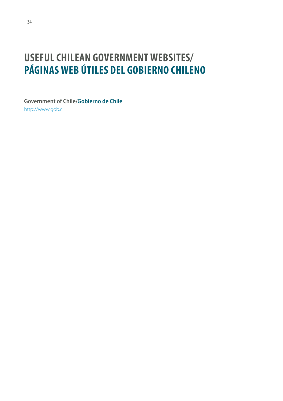### <span id="page-35-0"></span>**USEFUL CHILEAN GOVERNMENT WEBSITES/ PÁGINAS WEB ÚTILES DEL GOBIERNO CHILENO**

**Government of Chile/Gobierno de Chile** <http://www.gob.cl>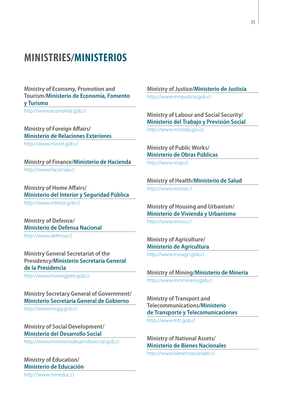### <span id="page-36-0"></span>**MINISTRIES/MINISTERIOS**

**Ministry of Economy, Promotion and Tourism/Ministerio de Economía, Fomento y Turismo**

<http://www.economia.gob.cl>

**Ministry of Foreign Affairs/ Ministerio de Relaciones Exteriores**

<http://www.minrel.gob.cl>

**Ministry of Finance/Ministerio de Hacienda** <http://www.hacienda.cl>

**Ministry of Home Affairs/ Ministerio del Interior y Seguridad Pública**

<http://www.interior.gob.cl>

**Ministry of Defence/ Ministerio de Defensa Nacional** <http://www.defensa.cl>

**Ministry General Secretariat of the Presidency/Ministerio Secretaría General de la Presidencia**

<http://www.minsegpres.gob.cl>

**Ministry Secretary General of Government/ Ministerio Secretaría General de Gobierno** <http://www.msgg.gob.cl>

**Ministry of Social Development/ Ministerio del Desarrollo Social**

<http://www.ministeriodesarrollosocial.gob.cl>

**Ministry of Education/ Ministerio de Educación**

<http://www.mineduc.cl>

**Ministry of Justice/Ministerio de Justicia** <http://www.minjusticia.gob.cl>

**Ministry of Labour and Social Security/ Ministerio del Trabajo y Previsión Social** <http://www.mintrab.gov.cl>

**Ministry of Public Works/ Ministerio de Obras Públicas** <http://www.mop.cl>

**Ministry of Health/Ministerio de Salud** <http://www.minsal.cl>

**Ministry of Housing and Urbanism/ Ministerio de Vivienda y Urbanismo**

<http://www.minvu.cl>

**Ministry of Agriculture/ Ministerio de Agricultura** <http://www.minagri.gob.cl>

**Ministry of Mining/Ministerio de Minería** <http://www.minmineria.gob.cl>

**Ministry of Transport and Telecommunications/Ministerio de Transporte y Telecomunicaciones**

<http://www.mtt.gob.cl>

**Ministry of National Assets/ Ministerio de Bienes Nacionales**

<http://www.bienesnacionales.cl>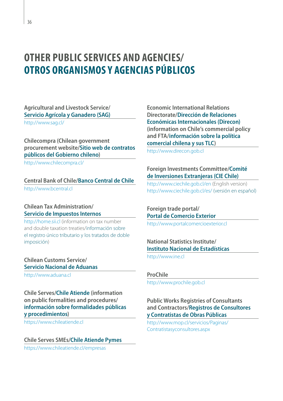### <span id="page-37-0"></span>**OTHER PUBLIC SERVICES AND AGENCIES/ OTROS ORGANISMOS Y AGENCIAS PÚBLICOS**

**Agricultural and Livestock Service/ Servicio Agrícola y Ganadero (SAG)**

[http://www.sag.cl/](http://www.sag.cl)

**Chilecompra (Chilean government procurement website/Sitio web de contratos públicos del Gobierno chileno)**

<http://www.chilecompra.cl>/

#### **Central Bank of Chile/Banco Central de Chile**

<http://www.bcentral.cl>

### **Chilean Tax Administration/ Servicio de Impuestos Internos**

<http://home.sii.cl>(information on tax number and double taxation treaties/información sobre el registro único tributario y los tratados de doble imposición)

**Chilean Customs Service/ Servicio Nacional de Aduanas**

<http://www.aduana.cl>

**Chile Serves/Chile Atiende (information on public formalities and procedures/ información sobre formalidades públicas y procedimientos)**

<https://www.chileatiende.cl>

**Chile Serves SMEs/Chile Atiende Pymes** <https://www.chileatiende.cl/empresas>

**Economic International Relations Directorate/Dirección de Relaciones Económicas Internacionales (Direcon) (information on Chile's commercial policy and FTA/información sobre la política comercial chilena y sus TLC)**

<http://www.direcon.gob.cl>

### **Foreign Investments Committee/Comité de Inversiones Extranjeras (CIE Chile)**

<http://www.ciechile.gob.cl/en>(English version) [http://www.ciechile.gob.cl/es/](http://www.ciechile.gob.cl/es) (versión en español)

**Foreign trade portal/ Portal de Comercio Exterior** 

<http://www.portalcomercioexterior.cl>

### **National Statistics Institute/ Instituto Nacional de Estadísticas**

<http://www.ine.cl>

#### **ProChile**

<http://www.prochile.gob.cl>

### **Public Works Registries of Consultants and Contractors/Registros de Consultores y Contratistas de Obras Públicas**

[http://www.mop.cl/servicios/Paginas/](http://www.mop.cl/servicios/Paginas/Contratistasyconsultores.aspx) [Contratistasyconsultores.aspx](http://www.mop.cl/servicios/Paginas/Contratistasyconsultores.aspx)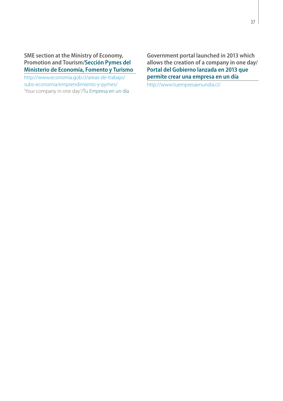**SME section at the Ministry of Economy, Promotion and Tourism/Sección Pymes del Ministerio de Economía, Fomento y Turismo**

[http://www.economia.gob.cl/areas-de-trabajo/](http://www.economia.gob.cl/areas-de-trabajo/subs-economia/emprendimiento) [subs-economia/emprendimiento](http://www.economia.gob.cl/areas-de-trabajo/subs-economia/emprendimiento)-y-pymes/ 'Your company in one day'/Tu Empresa en un día

**Government portal launched in 2013 which allows the creation of a company in one day/ Portal del Gobierno lanzada en 2013 que permite crear una empresa en un día**

[http://www.tuempresaenundia.cl/](http://www.tuempresaenundia.cl)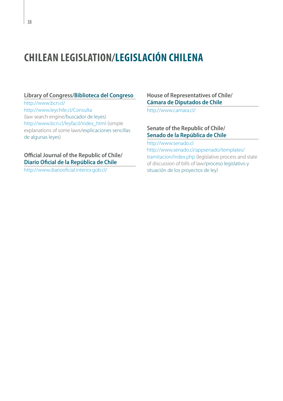### <span id="page-39-0"></span>**CHILEAN LEGISLATION/LEGISLACIÓN CHILENA**

### **Library of Congress/Biblioteca del Congreso**

[http://www.bcn.cl/](http://www.bcn.cl) <http://www.leychile.cl/Consulta> (law search engine/buscador de leyes) [http://www.bcn.cl/leyfacil/index\\_html](http://www.bcn.cl/leyfacil/index_html) (simple explanations of some laws/explicaciones sencillas de algunas leyes)

### **Official Journal of the Republic of Chile/ Diario Oficial de la República de Chile**

[http://www.diariooficial.interior.gob.cl/](http://www.diariooficial.interior.gob.cl)

**House of Representatives of Chile/ Cámara de Diputados de Chile**

[http://www.camara.cl/](http://www.camara.cl)

### **Senate of the Republic of Chile/ Senado de la República de Chile**

<http://www.senado.cl>

[http://www.senado.cl/appsenado/templates/](http://www.senado.cl/appsenado/templates/tramitacion/index.php) [tramitacion/index.php](http://www.senado.cl/appsenado/templates/tramitacion/index.php) (legislative process and state of discussion of bills of law/proceso legislativo y situación de los proyectos de ley)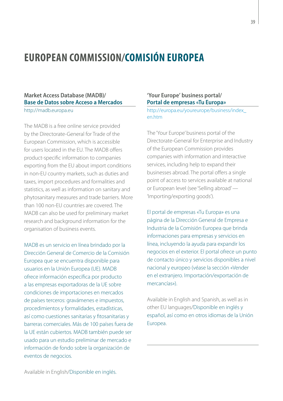### <span id="page-40-0"></span>**EUROPEAN COMMISSION/COMISIÓN EUROPEA**

### **Market Access Database (MADB)/ Base de Datos sobre Acceso a Mercados** <http://madb.europa.eu>

The MADB is a free online service provided by the Directorate-General for Trade of the European Commission, which is accessible for users located in the EU. The MADB offers product-specific information to companies exporting from the EU about import conditions in non-EU country markets, such as duties and taxes, import procedures and formalities and statistics, as well as information on sanitary and phytosanitary measures and trade barriers. More than 100 non-EU countries are covered. The MADB can also be used for preliminary market research and background information for the organisation of business events.

MADB es un servicio en línea brindado por la Dirección General de Comercio de la Comisión Europea que se encuentra disponible para usuarios en la Unión Europea (UE). MADB ofrece información específica por producto a las empresas exportadoras de la UE sobre condiciones de importaciones en mercados de países terceros: gravámenes e impuestos, procedimientos y formalidades, estadísticas, así como cuestiones sanitarias y fitosanitarias y barreras comerciales. Más de 100 países fuera de la UE están cubiertos. MADB también puede ser usado para un estudio preliminar de mercado e información de fondo sobre la organización de eventos de negocios.

### **'Your Europe' business portal/ Portal de empresas «Tu Europa»**

[http://europa.eu/youreurope/business/index\\_](http://europa.eu/youreurope/business/index_en.htm) [en.htm](http://europa.eu/youreurope/business/index_en.htm)

The 'Your Europe' business portal of the Directorate-General for Enterprise and Industry of the European Commission provides companies with information and interactive services, including help to expand their businesses abroad. The portal offers a single point of access to services available at national or European level (see 'Selling abroad' — 'Importing/exporting goods').

El portal de empresas «Tu Europa» es una página de la Dirección General de Empresa e Industria de la Comisión Europea que brinda informaciones para empresas y servicios en línea, incluyendo la ayuda para expandir los negocios en el exterior. El portal ofrece un punto de contacto único y servicios disponibles a nivel nacional y europeo (véase la sección «Vender en el extranjero. Importación/exportación de mercancías»).

Available in English and Spanish, as well as in other EU languages/Disponible en inglés y español, así como en otros idiomas de la Unión Europea.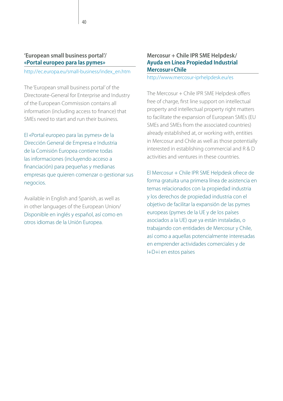### **'European small business portal'/ «Portal europeo para las pymes»**

[http://ec.europa.eu/small-business/index\\_en.htm](http://ec.europa.eu/small-business/index_en.htm)

The 'European small business portal' of the Directorate-General for Enterprise and Industry of the European Commission contains all information (including access to finance) that SMEs need to start and run their business.

El «Portal europeo para las pymes» de la Dirección General de Empresa e Industria de la Comisión Europea contiene todas las informaciones (incluyendo acceso a financiación) para pequeñas y medianas empresas que quieren comenzar o gestionar sus negocios.

Available in English and Spanish, as well as in other languages of the European Union/ Disponible en inglés y español, así como en otros idiomas de la Unión Europea.

### **Mercosur + Chile IPR SME Helpdesk/ Ayuda en Línea Propiedad Industrial Mercosur+Chile**

<http://www.mercosur-iprhelpdesk.eu/es>

The Mercosur + Chile IPR SME Helpdesk offers free of charge, first line support on intellectual property and intellectual property right matters to facilitate the expansion of European SMEs (EU SMEs and SMEs from the associated countries) already established at, or working with, entities in Mercosur and Chile as well as those potentially interested in establishing commercial and R & D activities and ventures in these countries.

El Mercosur + Chile IPR SME Helpdesk ofrece de forma gratuita una primera línea de asistencia en temas relacionados con la propiedad industria y los derechos de propiedad industria con el objetivo de facilitar la expansión de las pymes europeas (pymes de la UE y de los países asociados a la UE) que ya están instaladas, o trabajando con entidades de Mercosur y Chile, así como a aquellas potencialmente interesadas en emprender actividades comerciales y de I+D+i en estos países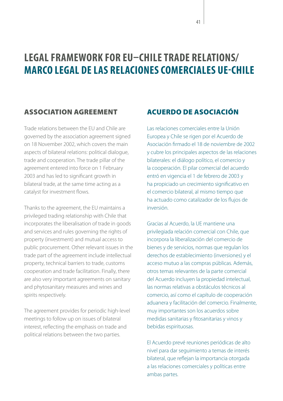### <span id="page-42-0"></span>**LEGAL FRAMEWORK FOR EU–CHILE TRADE RELATIONS/ MARCO LEGAL DE LAS RELACIONES COMERCIALES UE-CHILE**

### ASSOCIATION AGREEMENT

Trade relations between the EU and Chile are governed by the association agreement signed on 18 November 2002, which covers the main aspects of bilateral relations: political dialogue, trade and cooperation. The trade pillar of the agreement entered into force on 1 February 2003 and has led to significant growth in bilateral trade, at the same time acting as a catalyst for investment flows.

Thanks to the agreement, the EU maintains a privileged trading relationship with Chile that incorporates the liberalisation of trade in goods and services and rules governing the rights of property (investment) and mutual access to public procurement. Other relevant issues in the trade part of the agreement include intellectual property, technical barriers to trade, customs cooperation and trade facilitation. Finally, there are also very important agreements on sanitary and phytosanitary measures and wines and spirits respectively.

The agreement provides for periodic high-level meetings to follow up on issues of bilateral interest, reflecting the emphasis on trade and political relations between the two parties.

### ACUERDO DE ASOCIACIÓN

Las relaciones comerciales entre la Unión Europea y Chile se rigen por el Acuerdo de Asociación firmado el 18 de noviembre de 2002 y cubre los principales aspectos de las relaciones bilaterales: el diálogo político, el comercio y la cooperación. El pilar comercial del acuerdo entró en vigencia el 1 de febrero de 2003 y ha propiciado un crecimiento significativo en el comercio bilateral, al mismo tiempo que ha actuado como catalizador de los flujos de inversión.

Gracias al Acuerdo, la UE mantiene una privilegiada relación comercial con Chile, que incorpora la liberalización del comercio de bienes y de servicios, normas que regulan los derechos de establecimiento (inversiones) y el acceso mutuo a las compras públicas. Además, otros temas relevantes de la parte comercial del Acuerdo incluyen la propiedad intelectual, las normas relativas a obstáculos técnicos al comercio, así como el capítulo de cooperación aduanera y facilitación del comercio. Finalmente, muy importantes son los acuerdos sobre medidas sanitarias y fitosanitarias y vinos y bebidas espirituosas.

El Acuerdo prevé reuniones periódicas de alto nivel para dar seguimiento a temas de interés bilateral, que reflejan la importancia otorgada a las relaciones comerciales y políticas entre ambas partes.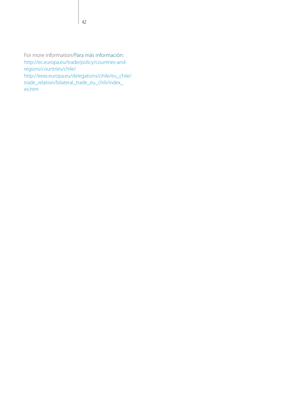For more information/Para más información: [http://ec.europa.eu/trade/policy/countries-and](http://ec.europa.eu/trade/policy/countries-and-regions/countries/chile)[regions/countries/chile/](http://ec.europa.eu/trade/policy/countries-and-regions/countries/chile) [http://eeas.europa.eu/delegations/chile/eu\\_chile/](http://eeas.europa.eu/delegations/chile/eu_chile/trade_relation/bilateral_trade_eu_chili/index_es.htm) [trade\\_relation/bilateral\\_trade\\_eu\\_chili/index\\_](http://eeas.europa.eu/delegations/chile/eu_chile/trade_relation/bilateral_trade_eu_chili/index_es.htm) [es.htm](http://eeas.europa.eu/delegations/chile/eu_chile/trade_relation/bilateral_trade_eu_chili/index_es.htm)